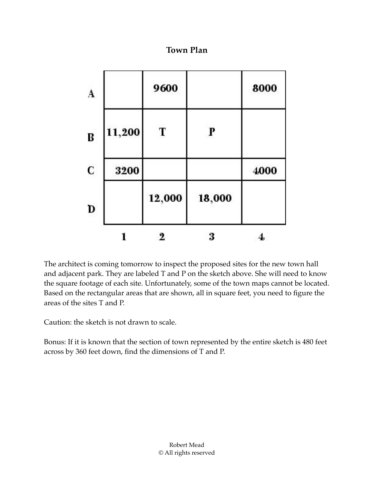**Town Plan**

|        | 9600   |        | 8000 |
|--------|--------|--------|------|
| 11,200 | T      | P      |      |
| 3200   |        |        | 4000 |
|        | 12,000 | 18,000 |      |
|        | 2      | 3      | 4    |

The architect is coming tomorrow to inspect the proposed sites for the new town hall and adjacent park. They are labeled T and P on the sketch above. She will need to know the square footage of each site. Unfortunately, some of the town maps cannot be located. Based on the rectangular areas that are shown, all in square feet, you need to figure the areas of the sites T and P.

Caution: the sketch is not drawn to scale.

Bonus: If it is known that the section of town represented by the entire sketch is 480 feet across by 360 feet down, find the dimensions of T and P.